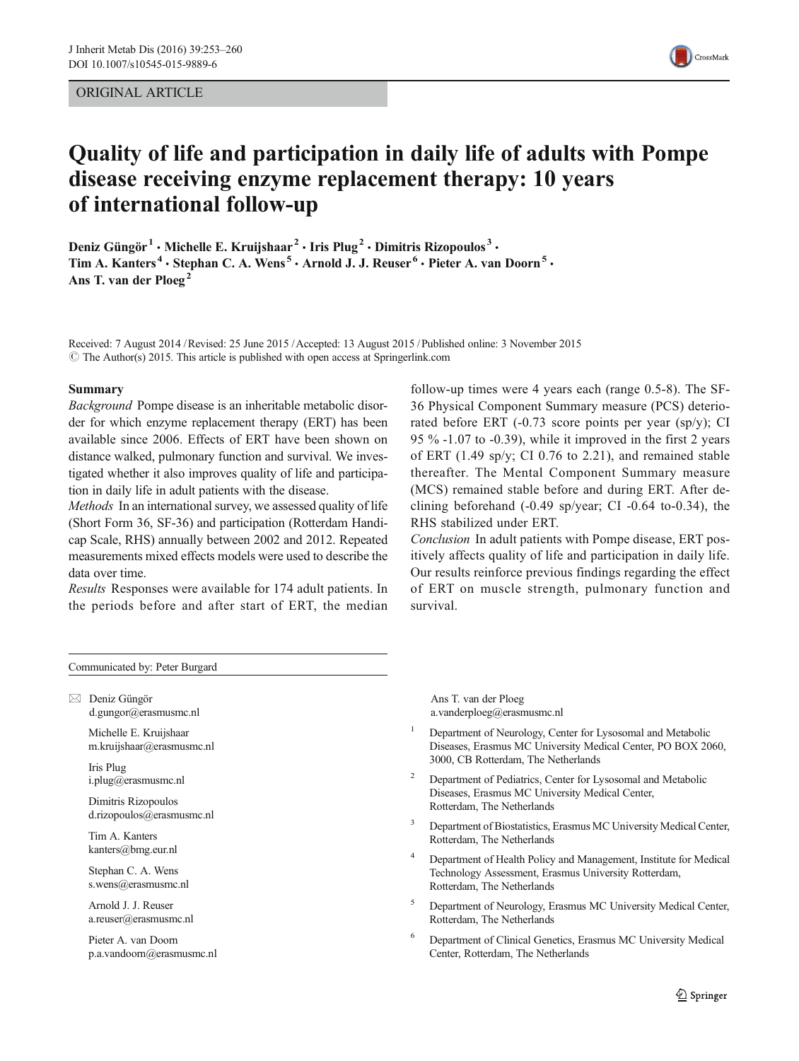ORIGINAL ARTICLE



# Quality of life and participation in daily life of adults with Pompe disease receiving enzyme replacement therapy: 10 years of international follow-up

Deniz Güngör<sup>1</sup> · Michelle E. Kruijshaar<sup>2</sup> · Iris Plug<sup>2</sup> · Dimitris Rizopoulos<sup>3</sup> · Tim A. Kanters<sup>4</sup> · Stephan C. A. Wens<sup>5</sup> · Arnold J. J. Reuser<sup>6</sup> · Pieter A. van Doorn<sup>5</sup> · Ans T. van der Ploeg<sup>2</sup>

Received: 7 August 2014 /Revised: 25 June 2015 /Accepted: 13 August 2015 / Published online: 3 November 2015  $\odot$  The Author(s) 2015. This article is published with open access at Springerlink.com

#### Summary

Background Pompe disease is an inheritable metabolic disorder for which enzyme replacement therapy (ERT) has been available since 2006. Effects of ERT have been shown on distance walked, pulmonary function and survival. We investigated whether it also improves quality of life and participation in daily life in adult patients with the disease.

Methods In an international survey, we assessed quality of life (Short Form 36, SF-36) and participation (Rotterdam Handicap Scale, RHS) annually between 2002 and 2012. Repeated measurements mixed effects models were used to describe the data over time.

Results Responses were available for 174 adult patients. In the periods before and after start of ERT, the median

follow-up times were 4 years each (range 0.5-8). The SF-36 Physical Component Summary measure (PCS) deteriorated before ERT (-0.73 score points per year (sp/y); CI 95 % -1.07 to -0.39), while it improved in the first 2 years of ERT (1.49 sp/y; CI 0.76 to 2.21), and remained stable thereafter. The Mental Component Summary measure (MCS) remained stable before and during ERT. After declining beforehand (-0.49 sp/year; CI -0.64 to-0.34), the RHS stabilized under ERT.

Conclusion In adult patients with Pompe disease, ERT positively affects quality of life and participation in daily life. Our results reinforce previous findings regarding the effect of ERT on muscle strength, pulmonary function and survival.

|   | Communicated by: Peter Burgard                                                                            |   |                                                                                              |
|---|-----------------------------------------------------------------------------------------------------------|---|----------------------------------------------------------------------------------------------|
| ⊠ | Deniz Güngör<br>d.gungor@erasmusmc.nl                                                                     |   | Ans T. van der Ploeg<br>a.vanderploeg@erasmusmc.nl                                           |
|   | Michelle E. Kruijshaar<br>m.kruijshaar@erasmusmc.nl                                                       | 1 | Department of Neurology, Cen<br>Diseases, Erasmus MC Univer<br>3000, CB Rotterdam, The Neth  |
|   | Iris Plug<br>i.plug@erasmusmc.nl<br>Dimitris Rizopoulos<br>$d.$ rizopoulos@erasmusmc.nl<br>Tim A. Kanters | 2 | Department of Pediatrics, Cent<br>Diseases, Erasmus MC Univer<br>Rotterdam, The Netherlands  |
|   |                                                                                                           | 3 | Department of Biostatistics, Era<br>Rotterdam, The Netherlands                               |
|   | kanters@bmg.eur.nl<br>Stephan C. A. Wens<br>s.wens@erasmusmc.nl                                           | 4 | Department of Health Policy an<br>Technology Assessment, Erasn<br>Rotterdam, The Netherlands |
|   | Arnold J. J. Reuser<br>$a$ .reuser@erasmusmc.nl                                                           | 5 | Department of Neurology, Eras<br>Rotterdam, The Netherlands                                  |
|   | Pieter A. van Doorn<br>p.a.vandoorn@erasmusmc.nl                                                          | 6 | Department of Clinical Genetic<br>Center, Rotterdam, The Nether                              |
|   |                                                                                                           |   |                                                                                              |

- ter for Lysosomal and Metabolic sity Medical Center, PO BOX 2060, nerlands
- er for Lysosomal and Metabolic sity Medical Center,
- smus MC University Medical Center,
- d Management, Institute for Medical nus University Rotterdam,
- smus MC University Medical Center,
- es, Erasmus MC University Medical lands<sup>.</sup>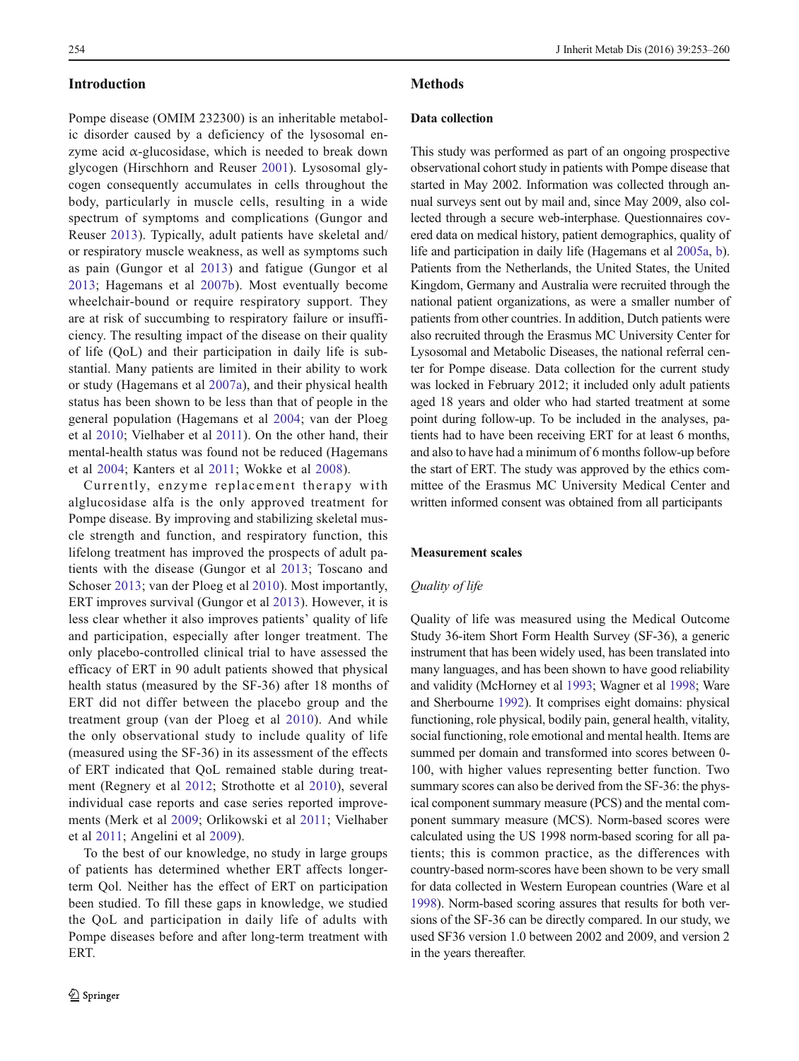## Introduction

Pompe disease (OMIM 232300) is an inheritable metabolic disorder caused by a deficiency of the lysosomal enzyme acid  $\alpha$ -glucosidase, which is needed to break down glycogen (Hirschhorn and Reuser [2001](#page-6-0)). Lysosomal glycogen consequently accumulates in cells throughout the body, particularly in muscle cells, resulting in a wide spectrum of symptoms and complications (Gungor and Reuser [2013\)](#page-6-0). Typically, adult patients have skeletal and/ or respiratory muscle weakness, as well as symptoms such as pain (Gungor et al [2013](#page-6-0)) and fatigue (Gungor et al [2013](#page-6-0); Hagemans et al [2007b](#page-6-0)). Most eventually become wheelchair-bound or require respiratory support. They are at risk of succumbing to respiratory failure or insufficiency. The resulting impact of the disease on their quality of life (QoL) and their participation in daily life is substantial. Many patients are limited in their ability to work or study (Hagemans et al [2007a\)](#page-6-0), and their physical health status has been shown to be less than that of people in the general population (Hagemans et al [2004](#page-6-0); van der Ploeg et al [2010](#page-7-0); Vielhaber et al [2011](#page-7-0)). On the other hand, their mental-health status was found not be reduced (Hagemans et al [2004;](#page-6-0) Kanters et al [2011;](#page-6-0) Wokke et al [2008\)](#page-7-0).

Currently, enzyme replacement therapy with alglucosidase alfa is the only approved treatment for Pompe disease. By improving and stabilizing skeletal muscle strength and function, and respiratory function, this lifelong treatment has improved the prospects of adult patients with the disease (Gungor et al [2013;](#page-6-0) Toscano and Schoser [2013;](#page-7-0) van der Ploeg et al [2010\)](#page-7-0). Most importantly, ERT improves survival (Gungor et al [2013\)](#page-6-0). However, it is less clear whether it also improves patients' quality of life and participation, especially after longer treatment. The only placebo-controlled clinical trial to have assessed the efficacy of ERT in 90 adult patients showed that physical health status (measured by the SF-36) after 18 months of ERT did not differ between the placebo group and the treatment group (van der Ploeg et al [2010](#page-7-0)). And while the only observational study to include quality of life (measured using the SF-36) in its assessment of the effects of ERT indicated that QoL remained stable during treatment (Regnery et al [2012;](#page-6-0) Strothotte et al [2010](#page-6-0)), several individual case reports and case series reported improvements (Merk et al [2009](#page-6-0); Orlikowski et al [2011;](#page-6-0) Vielhaber et al [2011;](#page-7-0) Angelini et al [2009\)](#page-6-0).

To the best of our knowledge, no study in large groups of patients has determined whether ERT affects longerterm Qol. Neither has the effect of ERT on participation been studied. To fill these gaps in knowledge, we studied the QoL and participation in daily life of adults with Pompe diseases before and after long-term treatment with ERT.

# **Methods**

# Data collection

This study was performed as part of an ongoing prospective observational cohort study in patients with Pompe disease that started in May 2002. Information was collected through annual surveys sent out by mail and, since May 2009, also collected through a secure web-interphase. Questionnaires covered data on medical history, patient demographics, quality of life and participation in daily life (Hagemans et al [2005a](#page-6-0), [b\)](#page-6-0). Patients from the Netherlands, the United States, the United Kingdom, Germany and Australia were recruited through the national patient organizations, as were a smaller number of patients from other countries. In addition, Dutch patients were also recruited through the Erasmus MC University Center for Lysosomal and Metabolic Diseases, the national referral center for Pompe disease. Data collection for the current study was locked in February 2012; it included only adult patients aged 18 years and older who had started treatment at some point during follow-up. To be included in the analyses, patients had to have been receiving ERT for at least 6 months, and also to have had a minimum of 6 months follow-up before the start of ERT. The study was approved by the ethics committee of the Erasmus MC University Medical Center and written informed consent was obtained from all participants

#### Measurement scales

#### Quality of life

Quality of life was measured using the Medical Outcome Study 36-item Short Form Health Survey (SF-36), a generic instrument that has been widely used, has been translated into many languages, and has been shown to have good reliability and validity (McHorney et al [1993;](#page-6-0) Wagner et al [1998;](#page-7-0) Ware and Sherbourne [1992\)](#page-7-0). It comprises eight domains: physical functioning, role physical, bodily pain, general health, vitality, social functioning, role emotional and mental health. Items are summed per domain and transformed into scores between 0- 100, with higher values representing better function. Two summary scores can also be derived from the SF-36: the physical component summary measure (PCS) and the mental component summary measure (MCS). Norm-based scores were calculated using the US 1998 norm-based scoring for all patients; this is common practice, as the differences with country-based norm-scores have been shown to be very small for data collected in Western European countries (Ware et al [1998\)](#page-7-0). Norm-based scoring assures that results for both versions of the SF-36 can be directly compared. In our study, we used SF36 version 1.0 between 2002 and 2009, and version 2 in the years thereafter.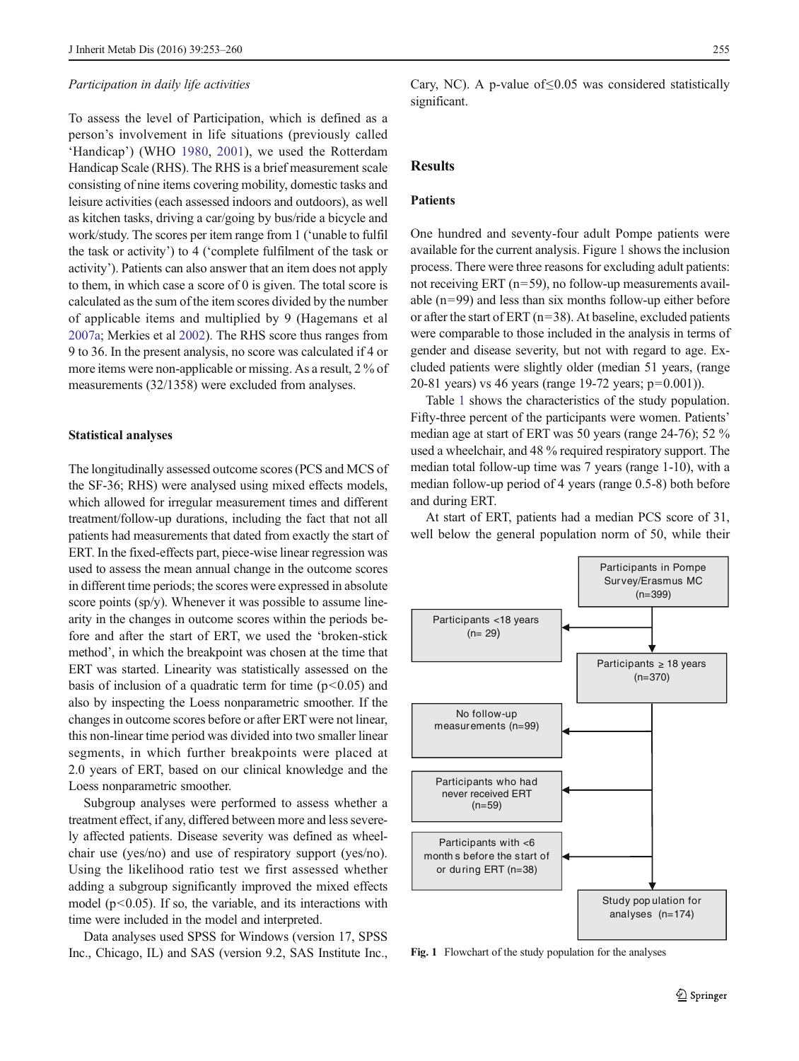#### Participation in daily life activities

To assess the level of Participation, which is defined as a person's involvement in life situations (previously called 'Handicap') (WHO [1980](#page-7-0), [2001](#page-7-0)), we used the Rotterdam Handicap Scale (RHS). The RHS is a brief measurement scale consisting of nine items covering mobility, domestic tasks and leisure activities (each assessed indoors and outdoors), as well as kitchen tasks, driving a car/going by bus/ride a bicycle and work/study. The scores per item range from 1 ('unable to fulfil the task or activity') to 4 ('complete fulfilment of the task or activity'). Patients can also answer that an item does not apply to them, in which case a score of 0 is given. The total score is calculated as the sum of the item scores divided by the number of applicable items and multiplied by 9 (Hagemans et al [2007a;](#page-6-0) Merkies et al [2002](#page-6-0)). The RHS score thus ranges from 9 to 36. In the present analysis, no score was calculated if 4 or more items were non-applicable or missing. As a result, 2 % of measurements (32/1358) were excluded from analyses.

#### Statistical analyses

The longitudinally assessed outcome scores (PCS and MCS of the SF-36; RHS) were analysed using mixed effects models, which allowed for irregular measurement times and different treatment/follow-up durations, including the fact that not all patients had measurements that dated from exactly the start of ERT. In the fixed-effects part, piece-wise linear regression was used to assess the mean annual change in the outcome scores in different time periods; the scores were expressed in absolute score points (sp/y). Whenever it was possible to assume linearity in the changes in outcome scores within the periods before and after the start of ERT, we used the 'broken-stick method', in which the breakpoint was chosen at the time that ERT was started. Linearity was statistically assessed on the basis of inclusion of a quadratic term for time  $(p<0.05)$  and also by inspecting the Loess nonparametric smoother. If the changes in outcome scores before or after ERT were not linear, this non-linear time period was divided into two smaller linear segments, in which further breakpoints were placed at 2.0 years of ERT, based on our clinical knowledge and the Loess nonparametric smoother.

Subgroup analyses were performed to assess whether a treatment effect, if any, differed between more and less severely affected patients. Disease severity was defined as wheelchair use (yes/no) and use of respiratory support (yes/no). Using the likelihood ratio test we first assessed whether adding a subgroup significantly improved the mixed effects model ( $p$ <0.05). If so, the variable, and its interactions with time were included in the model and interpreted.

Data analyses used SPSS for Windows (version 17, SPSS Inc., Chicago, IL) and SAS (version 9.2, SAS Institute Inc., Cary, NC). A p-value of≤0.05 was considered statistically significant.

# **Results**

## Patients

One hundred and seventy-four adult Pompe patients were available for the current analysis. Figure 1 shows the inclusion process. There were three reasons for excluding adult patients: not receiving ERT (n=59), no follow-up measurements available (n=99) and less than six months follow-up either before or after the start of ERT ( $n=38$ ). At baseline, excluded patients were comparable to those included in the analysis in terms of gender and disease severity, but not with regard to age. Excluded patients were slightly older (median 51 years, (range 20-81 years) vs 46 years (range 19-72 years; p=0.001)).

Table [1](#page-3-0) shows the characteristics of the study population. Fifty-three percent of the participants were women. Patients' median age at start of ERT was 50 years (range 24-76); 52 % used a wheelchair, and 48 % required respiratory support. The median total follow-up time was 7 years (range 1-10), with a median follow-up period of 4 years (range 0.5-8) both before and during ERT.

At start of ERT, patients had a median PCS score of 31, well below the general population norm of 50, while their



Fig. 1 Flowchart of the study population for the analyses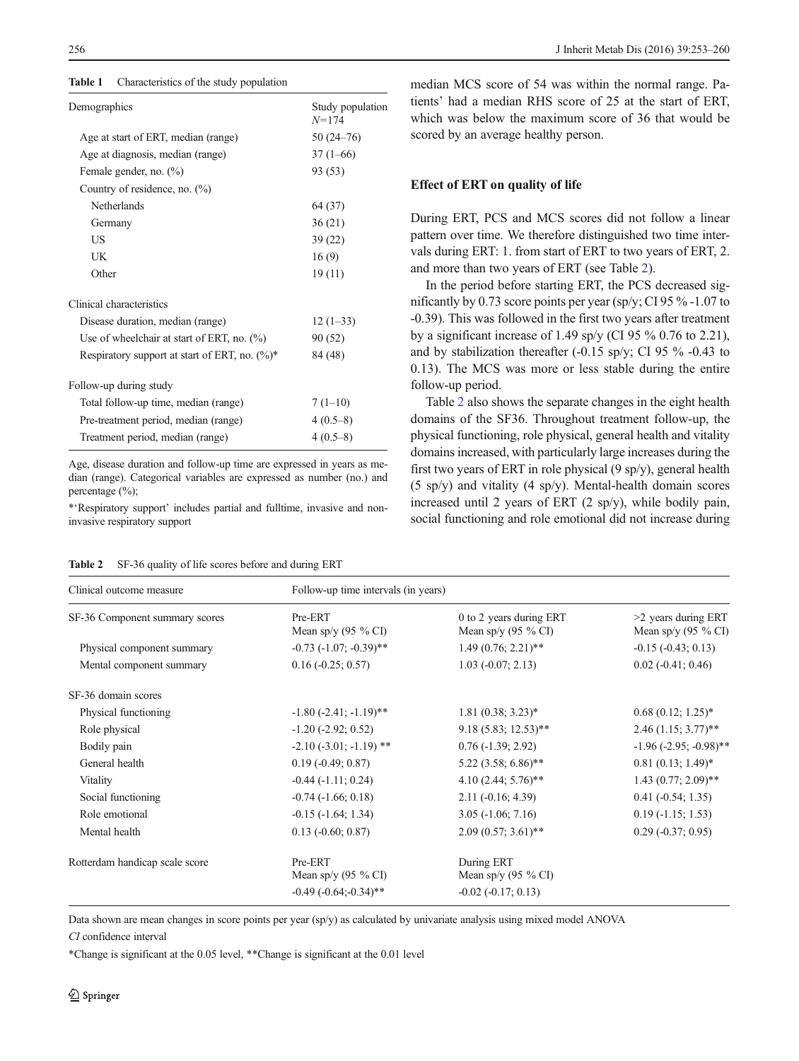<span id="page-3-0"></span>

| Table 1 | Characteristics of the study population |  |  |  |  |
|---------|-----------------------------------------|--|--|--|--|
|---------|-----------------------------------------|--|--|--|--|

| Demographics                                      | Study population<br>$N = 174$ |  |
|---------------------------------------------------|-------------------------------|--|
| Age at start of ERT, median (range)               | $50(24-76)$                   |  |
| Age at diagnosis, median (range)                  | $37(1-66)$                    |  |
| Female gender, no. $(\%)$                         | 93 (53)                       |  |
| Country of residence, no. $(\%)$                  |                               |  |
| <b>Netherlands</b>                                | 64 (37)                       |  |
| Germany                                           | 36(21)                        |  |
| US                                                | 39(22)                        |  |
| UK                                                | 16(9)                         |  |
| Other                                             | 19(11)                        |  |
| Clinical characteristics                          |                               |  |
| Disease duration, median (range)                  | $12(1-33)$                    |  |
| Use of wheelchair at start of ERT, no. (%)        | 90(52)                        |  |
| Respiratory support at start of ERT, no. $(\%)^*$ | 84 (48)                       |  |
| Follow-up during study                            |                               |  |
| Total follow-up time, median (range)              | $7(1-10)$                     |  |
| Pre-treatment period, median (range)              | $4(0.5-8)$                    |  |
| Treatment period, median (range)                  | $4(0.5-8)$                    |  |

Age, disease duration and follow-up time are expressed in years as median (range). Categorical variables are expressed as number (no.) and percentage  $(\%);$ 

\*FRespiratory support' includes partial and fulltime, invasive and noninvasive respiratory support

median MCS score of 54 was within the normal range. Patients' had a median RHS score of 25 at the start of ERT, which was below the maximum score of 36 that would be scored by an average healthy person.

## Effect of ERT on quality of life

During ERT, PCS and MCS scores did not follow a linear pattern over time. We therefore distinguished two time intervals during ERT: 1. from start of ERT to two years of ERT, 2. and more than two years of ERT (see Table 2).

In the period before starting ERT, the PCS decreased significantly by 0.73 score points per year (sp/y; CI 95 % -1.07 to -0.39). This was followed in the first two years after treatment by a significant increase of 1.49 sp/y (CI 95  $\%$  0.76 to 2.21), and by stabilization thereafter  $(-0.15 \text{ sp/y}; \text{CI } 95 \% -0.43 \text{ to } 10^{-1}$ 0.13). The MCS was more or less stable during the entire follow-up period.

Table 2 also shows the separate changes in the eight health domains of the SF36. Throughout treatment follow-up, the physical functioning, role physical, general health and vitality domains increased, with particularly large increases during the first two years of ERT in role physical (9 sp/y), general health (5 sp/y) and vitality (4 sp/y). Mental-health domain scores increased until 2 years of ERT (2 sp/y), while bodily pain, social functioning and role emotional did not increase during

| Clinical outcome measure       |                                                                     | Follow-up time intervals (in years)                                    |                                                        |  |  |
|--------------------------------|---------------------------------------------------------------------|------------------------------------------------------------------------|--------------------------------------------------------|--|--|
| SF-36 Component summary scores | Pre-ERT<br>Mean sp/y $(95\% \text{ CI})$                            | 0 to 2 years during ERT<br>Mean sp/y $(95 % CI)$                       | $>2$ years during ERT<br>Mean sp/y $(95\% \text{ CI})$ |  |  |
| Physical component summary     | $-0.73$ $(-1.07; -0.39)$ **                                         | $1.49(0.76; 2.21)$ **                                                  | $-0.15$ $(-0.43; 0.13)$                                |  |  |
| Mental component summary       | $0.16(-0.25; 0.57)$                                                 | $1.03$ ( $-0.07$ ; 2.13)                                               | $0.02$ ( $-0.41$ ; 0.46)                               |  |  |
| SF-36 domain scores            |                                                                     |                                                                        |                                                        |  |  |
| Physical functioning           | $-1.80$ $(-2.41; -1.19)$ **                                         | $1.81(0.38; 3.23)*$                                                    | $0.68(0.12; 1.25)^*$                                   |  |  |
| Role physical                  | $-1.20$ $(-2.92; 0.52)$                                             | $9.18(5.83; 12.53)$ **                                                 | $2.46$ (1.15; 3.77)**                                  |  |  |
| Bodily pain                    | $-2.10$ $(-3.01; -1.19)$ **                                         | $0.76$ ( $-1.39$ ; 2.92)                                               | $-1.96$ ( $-2.95$ ; $-0.98$ )**                        |  |  |
| General health                 | $0.19(-0.49; 0.87)$                                                 | $5.22$ (3.58; 6.86)**                                                  | $0.81(0.13; 1.49)^*$                                   |  |  |
| Vitality                       | $-0.44$ $(-1.11; 0.24)$                                             | $4.10(2.44; 5.76)$ **                                                  | $1.43$ $(0.77; 2.09)$ **                               |  |  |
| Social functioning             | $-0.74$ $(-1.66; 0.18)$                                             | $2.11(-0.16; 4.39)$                                                    | $0.41 (-0.54; 1.35)$                                   |  |  |
| Role emotional                 | $-0.15$ $(-1.64; 1.34)$                                             | $3.05$ ( $-1.06$ ; $7.16$ )                                            | $0.19(-1.15; 1.53)$                                    |  |  |
| Mental health                  | $0.13$ ( $-0.60; 0.87$ )                                            | $2.09(0.57; 3.61)$ **                                                  | $0.29(-0.37; 0.95)$                                    |  |  |
| Rotterdam handicap scale score | Pre-ERT<br>Mean sp/y $(95\% \text{ CI})$<br>$-0.49(-0.64,-0.34)$ ** | During ERT<br>Mean sp/y $(95\% \text{ CI})$<br>$-0.02$ $(-0.17; 0.13)$ |                                                        |  |  |

Table 2 SF-36 quality of life scores before and during ERT

Data shown are mean changes in score points per year (sp/y) as calculated by univariate analysis using mixed model ANOVA

CI confidence interval

\*Change is significant at the 0.05 level, \*\*Change is significant at the 0.01 level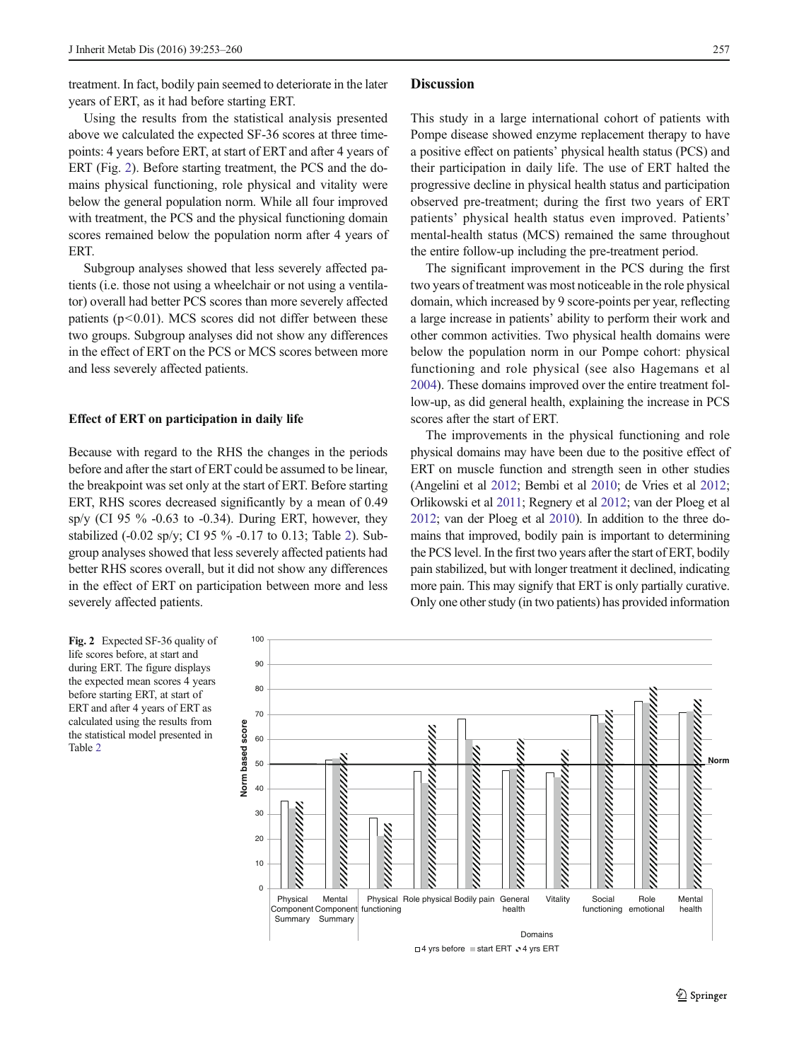treatment. In fact, bodily pain seemed to deteriorate in the later years of ERT, as it had before starting ERT.

Using the results from the statistical analysis presented above we calculated the expected SF-36 scores at three timepoints: 4 years before ERT, at start of ERT and after 4 years of ERT (Fig. 2). Before starting treatment, the PCS and the domains physical functioning, role physical and vitality were below the general population norm. While all four improved with treatment, the PCS and the physical functioning domain scores remained below the population norm after 4 years of ERT.

Subgroup analyses showed that less severely affected patients (i.e. those not using a wheelchair or not using a ventilator) overall had better PCS scores than more severely affected patients ( $p<0.01$ ). MCS scores did not differ between these two groups. Subgroup analyses did not show any differences in the effect of ERT on the PCS or MCS scores between more and less severely affected patients.

#### Effect of ERT on participation in daily life

Because with regard to the RHS the changes in the periods before and after the start of ERT could be assumed to be linear, the breakpoint was set only at the start of ERT. Before starting ERT, RHS scores decreased significantly by a mean of 0.49 sp/y (CI 95  $\%$  -0.63 to -0.34). During ERT, however, they stabilized (-0.02 sp/y; CI 95 % -0.17 to 0.13; Table [2](#page-3-0)). Subgroup analyses showed that less severely affected patients had better RHS scores overall, but it did not show any differences in the effect of ERT on participation between more and less severely affected patients.

#### **Discussion**

This study in a large international cohort of patients with Pompe disease showed enzyme replacement therapy to have a positive effect on patients' physical health status (PCS) and their participation in daily life. The use of ERT halted the progressive decline in physical health status and participation observed pre-treatment; during the first two years of ERT patients' physical health status even improved. Patients' mental-health status (MCS) remained the same throughout the entire follow-up including the pre-treatment period.

The significant improvement in the PCS during the first two years of treatment was most noticeable in the role physical domain, which increased by 9 score-points per year, reflecting a large increase in patients' ability to perform their work and other common activities. Two physical health domains were below the population norm in our Pompe cohort: physical functioning and role physical (see also Hagemans et al [2004\)](#page-6-0). These domains improved over the entire treatment follow-up, as did general health, explaining the increase in PCS scores after the start of ERT.

The improvements in the physical functioning and role physical domains may have been due to the positive effect of ERT on muscle function and strength seen in other studies (Angelini et al [2012](#page-6-0); Bembi et al [2010](#page-6-0); de Vries et al [2012;](#page-6-0) Orlikowski et al [2011](#page-6-0); Regnery et al [2012](#page-6-0); van der Ploeg et al [2012](#page-7-0); van der Ploeg et al [2010\)](#page-7-0). In addition to the three domains that improved, bodily pain is important to determining the PCS level. In the first two years after the start of ERT, bodily pain stabilized, but with longer treatment it declined, indicating more pain. This may signify that ERT is only partially curative. Only one other study (in two patients) has provided information

Fig. 2 Expected SF-36 quality of life scores before, at start and during ERT. The figure displays the expected mean scores 4 years before starting ERT, at start of ERT and after 4 years of ERT as calculated using the results from the statistical model presented in Table [2](#page-3-0)

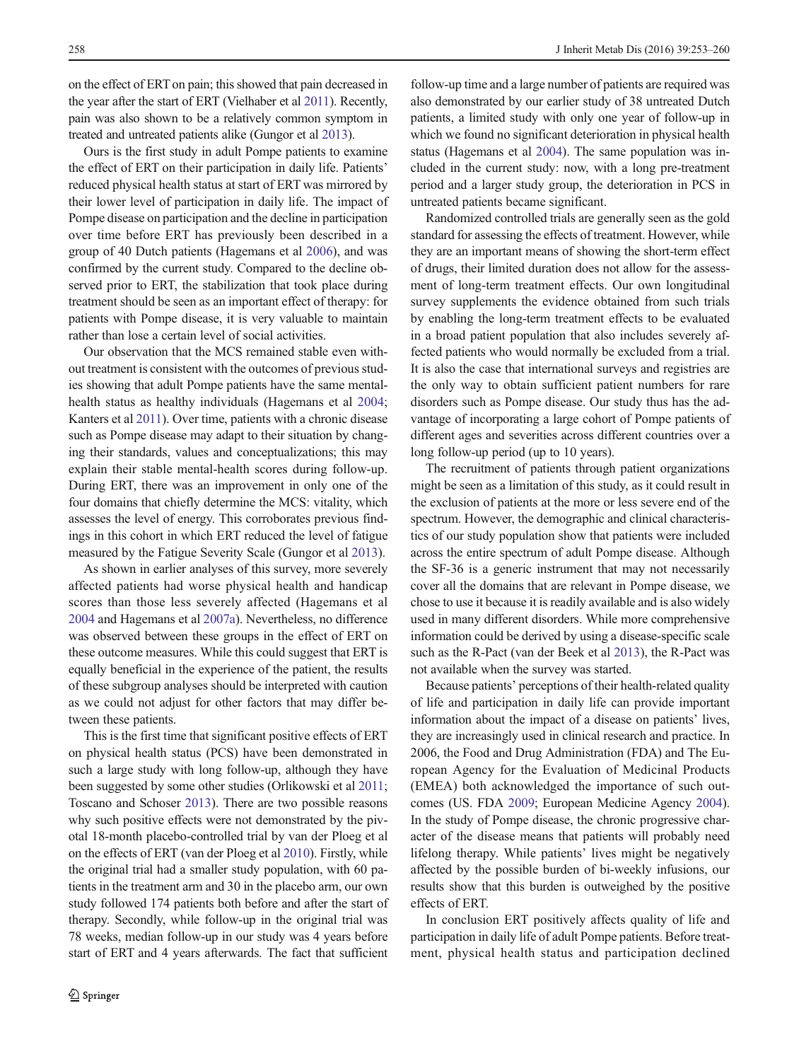on the effect of ERT on pain; this showed that pain decreased in the year after the start of ERT (Vielhaber et al [2011\)](#page-7-0). Recently, pain was also shown to be a relatively common symptom in treated and untreated patients alike (Gungor et al [2013](#page-6-0)).

Ours is the first study in adult Pompe patients to examine the effect of ERT on their participation in daily life. Patients' reduced physical health status at start of ERT was mirrored by their lower level of participation in daily life. The impact of Pompe disease on participation and the decline in participation over time before ERT has previously been described in a group of 40 Dutch patients (Hagemans et al [2006](#page-6-0)), and was confirmed by the current study. Compared to the decline observed prior to ERT, the stabilization that took place during treatment should be seen as an important effect of therapy: for patients with Pompe disease, it is very valuable to maintain rather than lose a certain level of social activities.

Our observation that the MCS remained stable even without treatment is consistent with the outcomes of previous studies showing that adult Pompe patients have the same mentalhealth status as healthy individuals (Hagemans et al [2004](#page-6-0); Kanters et al [2011\)](#page-6-0). Over time, patients with a chronic disease such as Pompe disease may adapt to their situation by changing their standards, values and conceptualizations; this may explain their stable mental-health scores during follow-up. During ERT, there was an improvement in only one of the four domains that chiefly determine the MCS: vitality, which assesses the level of energy. This corroborates previous findings in this cohort in which ERT reduced the level of fatigue measured by the Fatigue Severity Scale (Gungor et al [2013\)](#page-6-0).

As shown in earlier analyses of this survey, more severely affected patients had worse physical health and handicap scores than those less severely affected (Hagemans et al [2004](#page-6-0) and Hagemans et al [2007a\)](#page-6-0). Nevertheless, no difference was observed between these groups in the effect of ERT on these outcome measures. While this could suggest that ERT is equally beneficial in the experience of the patient, the results of these subgroup analyses should be interpreted with caution as we could not adjust for other factors that may differ between these patients.

This is the first time that significant positive effects of ERT on physical health status (PCS) have been demonstrated in such a large study with long follow-up, although they have been suggested by some other studies (Orlikowski et al [2011](#page-6-0); Toscano and Schoser [2013\)](#page-7-0). There are two possible reasons why such positive effects were not demonstrated by the pivotal 18-month placebo-controlled trial by van der Ploeg et al on the effects of ERT (van der Ploeg et al [2010\)](#page-7-0). Firstly, while the original trial had a smaller study population, with 60 patients in the treatment arm and 30 in the placebo arm, our own study followed 174 patients both before and after the start of therapy. Secondly, while follow-up in the original trial was 78 weeks, median follow-up in our study was 4 years before start of ERT and 4 years afterwards. The fact that sufficient

follow-up time and a large number of patients are required was also demonstrated by our earlier study of 38 untreated Dutch patients, a limited study with only one year of follow-up in which we found no significant deterioration in physical health status (Hagemans et al [2004](#page-6-0)). The same population was included in the current study: now, with a long pre-treatment period and a larger study group, the deterioration in PCS in untreated patients became significant.

Randomized controlled trials are generally seen as the gold standard for assessing the effects of treatment. However, while they are an important means of showing the short-term effect of drugs, their limited duration does not allow for the assessment of long-term treatment effects. Our own longitudinal survey supplements the evidence obtained from such trials by enabling the long-term treatment effects to be evaluated in a broad patient population that also includes severely affected patients who would normally be excluded from a trial. It is also the case that international surveys and registries are the only way to obtain sufficient patient numbers for rare disorders such as Pompe disease. Our study thus has the advantage of incorporating a large cohort of Pompe patients of different ages and severities across different countries over a long follow-up period (up to 10 years).

The recruitment of patients through patient organizations might be seen as a limitation of this study, as it could result in the exclusion of patients at the more or less severe end of the spectrum. However, the demographic and clinical characteristics of our study population show that patients were included across the entire spectrum of adult Pompe disease. Although the SF-36 is a generic instrument that may not necessarily cover all the domains that are relevant in Pompe disease, we chose to use it because it is readily available and is also widely used in many different disorders. While more comprehensive information could be derived by using a disease-specific scale such as the R-Pact (van der Beek et al [2013](#page-7-0)), the R-Pact was not available when the survey was started.

Because patients' perceptions of their health-related quality of life and participation in daily life can provide important information about the impact of a disease on patients' lives, they are increasingly used in clinical research and practice. In 2006, the Food and Drug Administration (FDA) and The European Agency for the Evaluation of Medicinal Products (EMEA) both acknowledged the importance of such outcomes (US. FDA [2009](#page-7-0); European Medicine Agency [2004\)](#page-6-0). In the study of Pompe disease, the chronic progressive character of the disease means that patients will probably need lifelong therapy. While patients' lives might be negatively affected by the possible burden of bi-weekly infusions, our results show that this burden is outweighed by the positive effects of ERT.

In conclusion ERT positively affects quality of life and participation in daily life of adult Pompe patients. Before treatment, physical health status and participation declined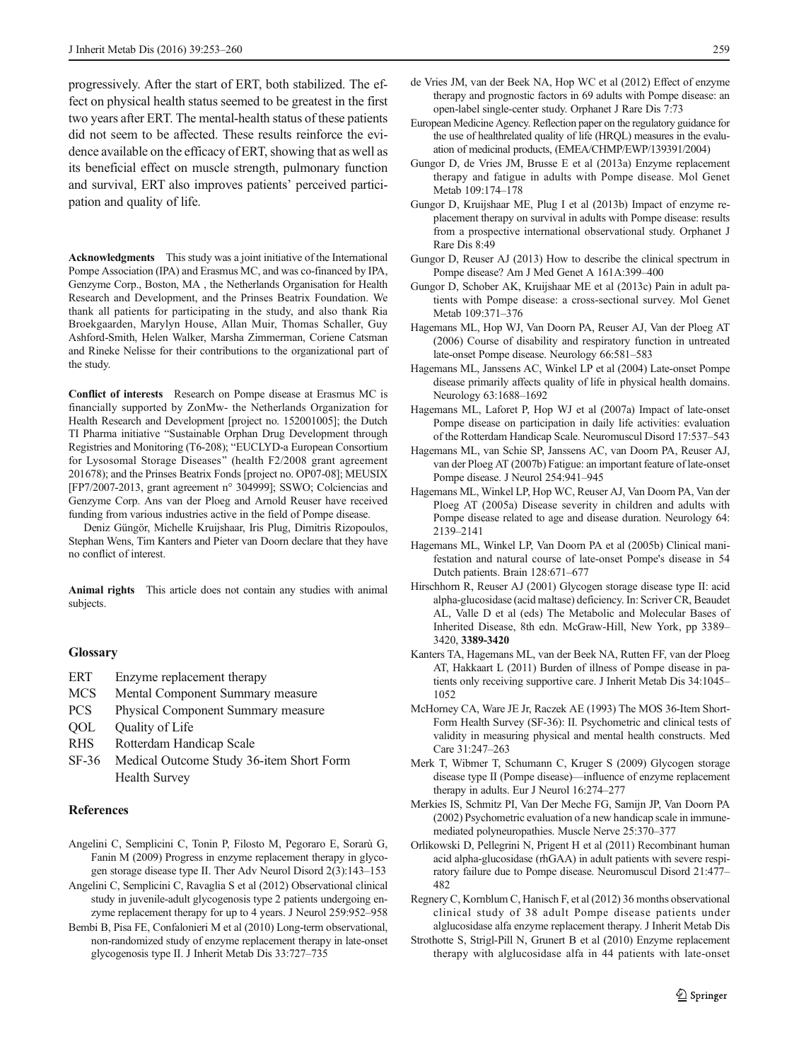<span id="page-6-0"></span>progressively. After the start of ERT, both stabilized. The effect on physical health status seemed to be greatest in the first two years after ERT. The mental-health status of these patients did not seem to be affected. These results reinforce the evidence available on the efficacy of ERT, showing that as well as its beneficial effect on muscle strength, pulmonary function and survival, ERT also improves patients' perceived participation and quality of life.

Acknowledgments This study was a joint initiative of the International Pompe Association (IPA) and Erasmus MC, and was co-financed by IPA, Genzyme Corp., Boston, MA , the Netherlands Organisation for Health Research and Development, and the Prinses Beatrix Foundation. We thank all patients for participating in the study, and also thank Ria Broekgaarden, Marylyn House, Allan Muir, Thomas Schaller, Guy Ashford-Smith, Helen Walker, Marsha Zimmerman, Coriene Catsman and Rineke Nelisse for their contributions to the organizational part of the study.

Conflict of interests Research on Pompe disease at Erasmus MC is financially supported by ZonMw- the Netherlands Organization for Health Research and Development [project no. 152001005]; the Dutch TI Pharma initiative "Sustainable Orphan Drug Development through Registries and Monitoring (T6-208); "EUCLYD-a European Consortium for Lysosomal Storage Diseases" (health F2/2008 grant agreement 201678); and the Prinses Beatrix Fonds [project no. OP07-08]; MEUSIX [FP7/2007-2013, grant agreement n° 304999]; SSWO; Colciencias and Genzyme Corp. Ans van der Ploeg and Arnold Reuser have received funding from various industries active in the field of Pompe disease.

Deniz Güngör, Michelle Kruijshaar, Iris Plug, Dimitris Rizopoulos, Stephan Wens, Tim Kanters and Pieter van Doorn declare that they have no conflict of interest.

Animal rights This article does not contain any studies with animal subjects.

#### Glossary

- ERT Enzyme replacement therapy
- MCS Mental Component Summary measure
- PCS Physical Component Summary measure
- QOL Quality of Life
- RHS Rotterdam Handicap Scale
- SF-36 Medical Outcome Study 36-item Short Form Health Survey

## References

- Angelini C, Semplicini C, Tonin P, Filosto M, Pegoraro E, Sorarù G, Fanin M (2009) Progress in enzyme replacement therapy in glycogen storage disease type II. Ther Adv Neurol Disord 2(3):143–153
- Angelini C, Semplicini C, Ravaglia S et al (2012) Observational clinical study in juvenile-adult glycogenosis type 2 patients undergoing enzyme replacement therapy for up to 4 years. J Neurol 259:952–958
- Bembi B, Pisa FE, Confalonieri M et al (2010) Long-term observational, non-randomized study of enzyme replacement therapy in late-onset glycogenosis type II. J Inherit Metab Dis 33:727–735
- de Vries JM, van der Beek NA, Hop WC et al (2012) Effect of enzyme therapy and prognostic factors in 69 adults with Pompe disease: an open-label single-center study. Orphanet J Rare Dis 7:73
- European Medicine Agency. Reflection paper on the regulatory guidance for the use of healthrelated quality of life (HRQL) measures in the evaluation of medicinal products, (EMEA/CHMP/EWP/139391/2004)
- Gungor D, de Vries JM, Brusse E et al (2013a) Enzyme replacement therapy and fatigue in adults with Pompe disease. Mol Genet Metab 109:174–178
- Gungor D, Kruijshaar ME, Plug I et al (2013b) Impact of enzyme replacement therapy on survival in adults with Pompe disease: results from a prospective international observational study. Orphanet J Rare Dis 8:49
- Gungor D, Reuser AJ (2013) How to describe the clinical spectrum in Pompe disease? Am J Med Genet A 161A:399–400
- Gungor D, Schober AK, Kruijshaar ME et al (2013c) Pain in adult patients with Pompe disease: a cross-sectional survey. Mol Genet Metab 109:371–376
- Hagemans ML, Hop WJ, Van Doorn PA, Reuser AJ, Van der Ploeg AT (2006) Course of disability and respiratory function in untreated late-onset Pompe disease. Neurology 66:581–583
- Hagemans ML, Janssens AC, Winkel LP et al (2004) Late-onset Pompe disease primarily affects quality of life in physical health domains. Neurology 63:1688–1692
- Hagemans ML, Laforet P, Hop WJ et al (2007a) Impact of late-onset Pompe disease on participation in daily life activities: evaluation of the Rotterdam Handicap Scale. Neuromuscul Disord 17:537–543
- Hagemans ML, van Schie SP, Janssens AC, van Doorn PA, Reuser AJ, van der Ploeg AT (2007b) Fatigue: an important feature of late-onset Pompe disease. J Neurol 254:941–945
- Hagemans ML, Winkel LP, Hop WC, Reuser AJ, Van Doorn PA, Van der Ploeg AT (2005a) Disease severity in children and adults with Pompe disease related to age and disease duration. Neurology 64: 2139–2141
- Hagemans ML, Winkel LP, Van Doorn PA et al (2005b) Clinical manifestation and natural course of late-onset Pompe's disease in 54 Dutch patients. Brain 128:671–677
- Hirschhorn R, Reuser AJ (2001) Glycogen storage disease type II: acid alpha-glucosidase (acid maltase) deficiency. In: Scriver CR, Beaudet AL, Valle D et al (eds) The Metabolic and Molecular Bases of Inherited Disease, 8th edn. McGraw-Hill, New York, pp 3389– 3420, 3389-3420
- Kanters TA, Hagemans ML, van der Beek NA, Rutten FF, van der Ploeg AT, Hakkaart L (2011) Burden of illness of Pompe disease in patients only receiving supportive care. J Inherit Metab Dis 34:1045– 1052
- McHorney CA, Ware JE Jr, Raczek AE (1993) The MOS 36-Item Short-Form Health Survey (SF-36): II. Psychometric and clinical tests of validity in measuring physical and mental health constructs. Med Care 31:247–263
- Merk T, Wibmer T, Schumann C, Kruger S (2009) Glycogen storage disease type II (Pompe disease)—influence of enzyme replacement therapy in adults. Eur J Neurol 16:274–277
- Merkies IS, Schmitz PI, Van Der Meche FG, Samijn JP, Van Doorn PA (2002) Psychometric evaluation of a new handicap scale in immunemediated polyneuropathies. Muscle Nerve 25:370–377
- Orlikowski D, Pellegrini N, Prigent H et al (2011) Recombinant human acid alpha-glucosidase (rhGAA) in adult patients with severe respiratory failure due to Pompe disease. Neuromuscul Disord 21:477– 482
- Regnery C, Kornblum C, Hanisch F, et al (2012) 36 months observational clinical study of 38 adult Pompe disease patients under alglucosidase alfa enzyme replacement therapy. J Inherit Metab Dis
- Strothotte S, Strigl-Pill N, Grunert B et al (2010) Enzyme replacement therapy with alglucosidase alfa in 44 patients with late-onset